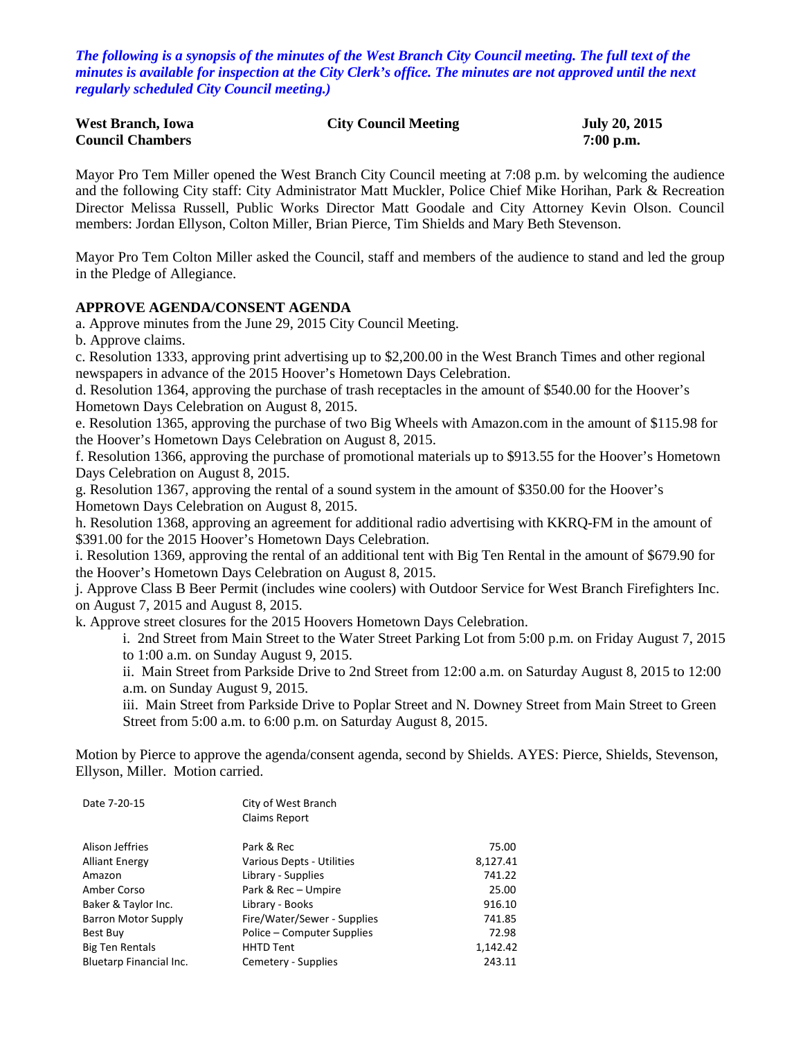*The following is a synopsis of the minutes of the West Branch City Council meeting. The full text of the minutes is available for inspection at the City Clerk's office. The minutes are not approved until the next regularly scheduled City Council meeting.)*

| <b>West Branch, Iowa</b> | <b>City Council Meeting</b> | <b>July 20, 2015</b> |
|--------------------------|-----------------------------|----------------------|
| <b>Council Chambers</b>  |                             | $7:00$ p.m.          |

Mayor Pro Tem Miller opened the West Branch City Council meeting at 7:08 p.m. by welcoming the audience and the following City staff: City Administrator Matt Muckler, Police Chief Mike Horihan, Park & Recreation Director Melissa Russell, Public Works Director Matt Goodale and City Attorney Kevin Olson. Council members: Jordan Ellyson, Colton Miller, Brian Pierce, Tim Shields and Mary Beth Stevenson.

Mayor Pro Tem Colton Miller asked the Council, staff and members of the audience to stand and led the group in the Pledge of Allegiance.

#### **APPROVE AGENDA/CONSENT AGENDA**

a. Approve minutes from the June 29, 2015 City Council Meeting.

b. Approve claims.

c. Resolution 1333, approving print advertising up to \$2,200.00 in the West Branch Times and other regional newspapers in advance of the 2015 Hoover's Hometown Days Celebration.

d. Resolution 1364, approving the purchase of trash receptacles in the amount of \$540.00 for the Hoover's Hometown Days Celebration on August 8, 2015.

e. Resolution 1365, approving the purchase of two Big Wheels with Amazon.com in the amount of \$115.98 for the Hoover's Hometown Days Celebration on August 8, 2015.

f. Resolution 1366, approving the purchase of promotional materials up to \$913.55 for the Hoover's Hometown Days Celebration on August 8, 2015.

g. Resolution 1367, approving the rental of a sound system in the amount of \$350.00 for the Hoover's Hometown Days Celebration on August 8, 2015.

h. Resolution 1368, approving an agreement for additional radio advertising with KKRQ-FM in the amount of \$391.00 for the 2015 Hoover's Hometown Days Celebration.

i. Resolution 1369, approving the rental of an additional tent with Big Ten Rental in the amount of \$679.90 for the Hoover's Hometown Days Celebration on August 8, 2015.

j. Approve Class B Beer Permit (includes wine coolers) with Outdoor Service for West Branch Firefighters Inc. on August 7, 2015 and August 8, 2015.

k. Approve street closures for the 2015 Hoovers Hometown Days Celebration.

i. 2nd Street from Main Street to the Water Street Parking Lot from 5:00 p.m. on Friday August 7, 2015 to 1:00 a.m. on Sunday August 9, 2015.

ii. Main Street from Parkside Drive to 2nd Street from 12:00 a.m. on Saturday August 8, 2015 to 12:00 a.m. on Sunday August 9, 2015.

iii. Main Street from Parkside Drive to Poplar Street and N. Downey Street from Main Street to Green Street from 5:00 a.m. to 6:00 p.m. on Saturday August 8, 2015.

Motion by Pierce to approve the agenda/consent agenda, second by Shields. AYES: Pierce, Shields, Stevenson, Ellyson, Miller. Motion carried.

| City of West Branch<br>Claims Report |          |
|--------------------------------------|----------|
| Park & Rec                           | 75.00    |
| <b>Various Depts - Utilities</b>     | 8,127.41 |
| Library - Supplies                   | 741.22   |
| Park & Rec - Umpire                  | 25.00    |
| Library - Books                      | 916.10   |
| Fire/Water/Sewer - Supplies          | 741.85   |
| Police – Computer Supplies           | 72.98    |
| <b>HHTD Tent</b>                     | 1,142.42 |
| Cemetery - Supplies                  | 243.11   |
|                                      |          |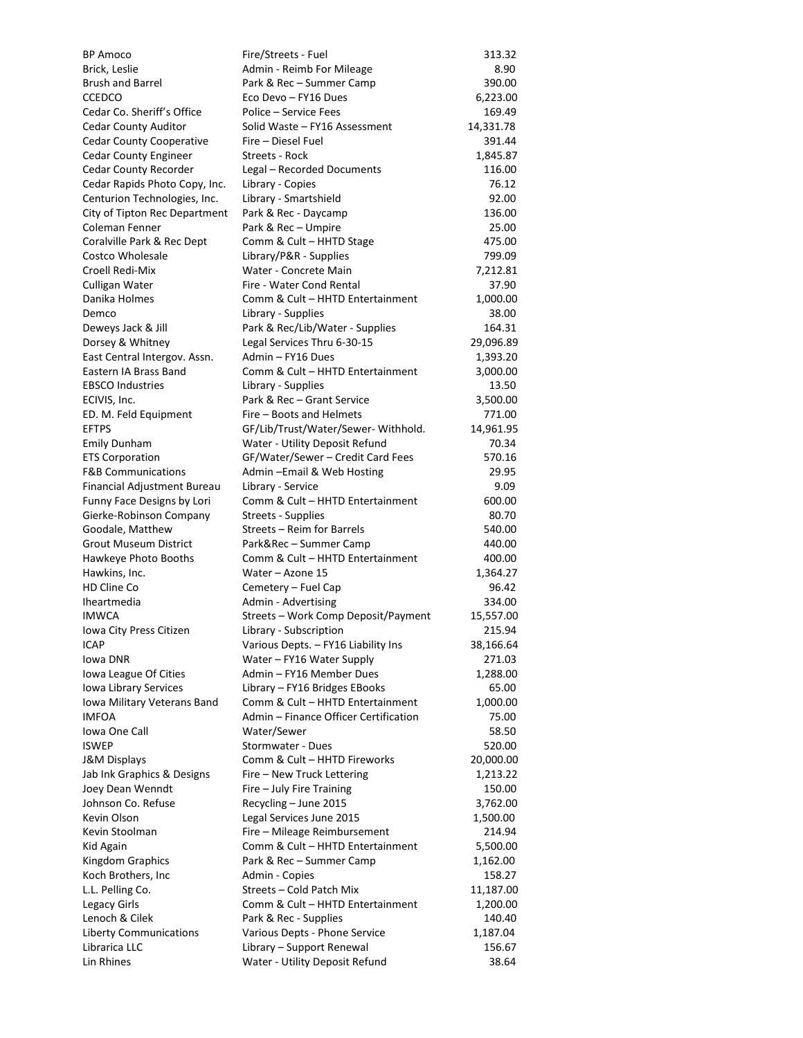| BP Amoco                                              | Fire/Streets - Fuel                                   | 313.32         |
|-------------------------------------------------------|-------------------------------------------------------|----------------|
| Brick, Leslie                                         | Admin - Reimb For Mileage                             | 8.90           |
| <b>Brush and Barrel</b>                               | Park & Rec - Summer Camp                              | 390.00         |
| <b>CCEDCO</b>                                         | Eco Devo - FY16 Dues                                  | 6,223.00       |
| Cedar Co. Sheriff's Office                            | Police – Service Fees                                 | 169.49         |
| <b>Cedar County Auditor</b>                           | Solid Waste - FY16 Assessment                         | 14,331.78      |
| <b>Cedar County Cooperative</b>                       | Fire – Diesel Fuel                                    | 391.44         |
| <b>Cedar County Engineer</b>                          | Streets - Rock                                        | 1,845.87       |
| Cedar County Recorder                                 | Legal - Recorded Documents                            | 116.00         |
| Cedar Rapids Photo Copy, Inc.                         | Library - Copies                                      | 76.12          |
| Centurion Technologies, Inc.                          | Library - Smartshield                                 | 92.00          |
| City of Tipton Rec Department                         | Park & Rec - Daycamp                                  | 136.00         |
| Coleman Fenner                                        | Park & Rec - Umpire                                   | 25.00          |
| Coralville Park & Rec Dept                            | Comm & Cult - HHTD Stage                              | 475.00         |
| Costco Wholesale                                      | Library/P&R - Supplies                                | 799.09         |
| Croell Redi-Mix                                       | Water - Concrete Main                                 | 7,212.81       |
| Culligan Water                                        | Fire - Water Cond Rental                              | 37.90          |
| Danika Holmes                                         | Comm & Cult - HHTD Entertainment                      | 1,000.00       |
| Demco                                                 | Library - Supplies                                    | 38.00          |
| Deweys Jack & Jill                                    | Park & Rec/Lib/Water - Supplies                       | 164.31         |
| Dorsey & Whitney                                      | Legal Services Thru 6-30-15                           | 29,096.89      |
| East Central Intergov. Assn.                          | Admin – FY16 Dues                                     | 1,393.20       |
| Eastern IA Brass Band                                 | Comm & Cult - HHTD Entertainment                      | 3,000.00       |
| <b>EBSCO Industries</b>                               | Library - Supplies                                    | 13.50          |
| ECIVIS, Inc.                                          | Park & Rec - Grant Service                            | 3,500.00       |
| ED. M. Feld Equipment                                 | Fire - Boots and Helmets                              | 771.00         |
| <b>EFTPS</b>                                          | GF/Lib/Trust/Water/Sewer-Withhold.                    | 14,961.95      |
| <b>Emily Dunham</b>                                   | Water - Utility Deposit Refund                        | 70.34          |
| <b>ETS Corporation</b>                                | GF/Water/Sewer - Credit Card Fees                     | 570.16         |
| <b>F&amp;B Communications</b>                         | Admin-Email & Web Hosting                             | 29.95          |
| Financial Adjustment Bureau                           | Library - Service<br>Comm & Cult - HHTD Entertainment | 9.09<br>600.00 |
| Funny Face Designs by Lori<br>Gierke-Robinson Company | <b>Streets - Supplies</b>                             | 80.70          |
| Goodale, Matthew                                      | Streets – Reim for Barrels                            | 540.00         |
| <b>Grout Museum District</b>                          | Park&Rec - Summer Camp                                | 440.00         |
| Hawkeye Photo Booths                                  | Comm & Cult - HHTD Entertainment                      | 400.00         |
| Hawkins, Inc.                                         | Water - Azone 15                                      | 1,364.27       |
| HD Cline Co                                           | Cemetery – Fuel Cap                                   | 96.42          |
| Iheartmedia                                           | Admin - Advertising                                   | 334.00         |
| <b>IMWCA</b>                                          | Streets - Work Comp Deposit/Payment                   | 15,557.00      |
| Iowa City Press Citizen                               | Library - Subscription                                | 215.94         |
| ICAP                                                  | Various Depts. - FY16 Liability Ins                   | 38,166.64      |
| Iowa DNR                                              | Water - FY16 Water Supply                             | 271.03         |
| Iowa League Of Cities                                 | Admin – FY16 Member Dues                              | 1,288.00       |
| Iowa Library Services                                 | Library - FY16 Bridges EBooks                         | 65.00          |
| Iowa Military Veterans Band                           | Comm & Cult - HHTD Entertainment                      | 1,000.00       |
| <b>IMFOA</b>                                          | Admin - Finance Officer Certification                 | 75.00          |
| Iowa One Call                                         | Water/Sewer                                           | 58.50          |
| <b>ISWEP</b>                                          | Stormwater - Dues                                     | 520.00         |
| <b>J&amp;M Displays</b>                               | Comm & Cult - HHTD Fireworks                          | 20,000.00      |
| Jab Ink Graphics & Designs                            | Fire - New Truck Lettering                            | 1,213.22       |
| Joey Dean Wenndt                                      | Fire - July Fire Training                             | 150.00         |
| Johnson Co. Refuse                                    | Recycling - June 2015                                 | 3,762.00       |
| Kevin Olson                                           | Legal Services June 2015                              | 1,500.00       |
| Kevin Stoolman                                        | Fire - Mileage Reimbursement                          | 214.94         |
| Kid Again                                             | Comm & Cult - HHTD Entertainment                      | 5,500.00       |
| Kingdom Graphics                                      | Park & Rec - Summer Camp                              | 1,162.00       |
| Koch Brothers, Inc                                    | Admin - Copies                                        | 158.27         |
| L.L. Pelling Co.                                      | Streets - Cold Patch Mix                              | 11,187.00      |
| Legacy Girls                                          | Comm & Cult - HHTD Entertainment                      | 1,200.00       |
| Lenoch & Cilek                                        | Park & Rec - Supplies                                 | 140.40         |
| <b>Liberty Communications</b>                         | Various Depts - Phone Service                         | 1,187.04       |
| Librarica LLC                                         | Library - Support Renewal                             | 156.67         |
| Lin Rhines                                            | Water - Utility Deposit Refund                        | 38.64          |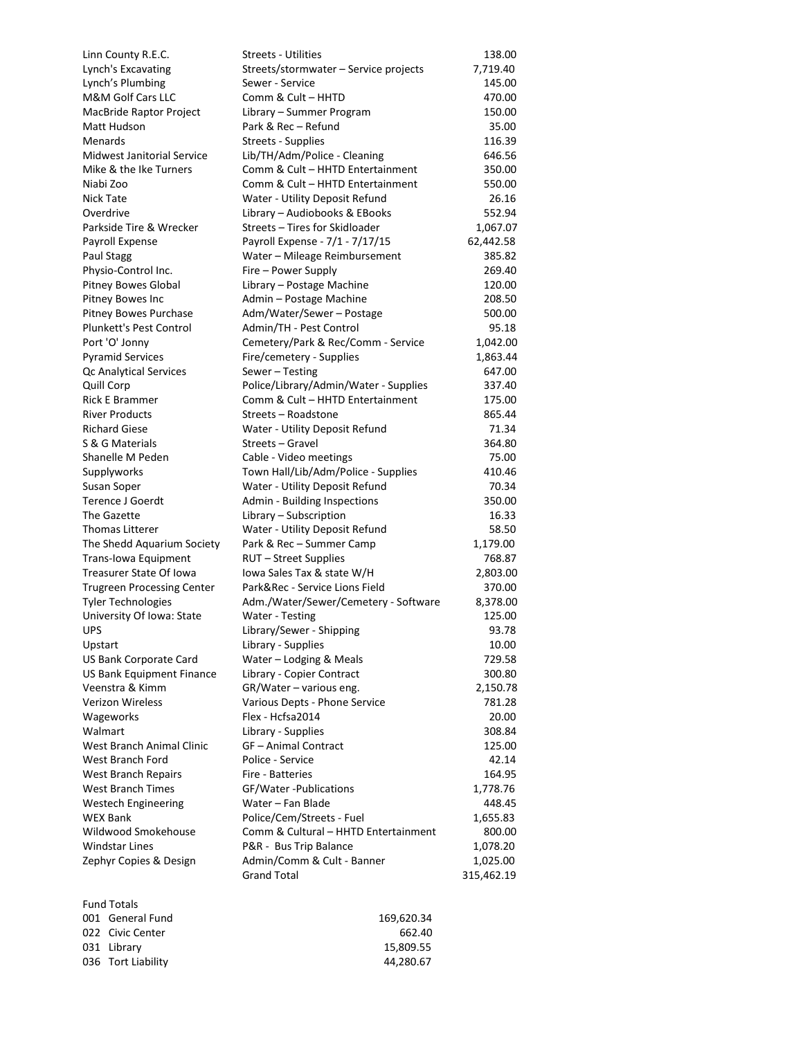| Linn County R.E.C.                | <b>Streets - Utilities</b>                             | 138.00          |
|-----------------------------------|--------------------------------------------------------|-----------------|
| Lynch's Excavating                | Streets/stormwater – Service projects                  | 7,719.40        |
| Lynch's Plumbing                  | Sewer - Service                                        | 145.00          |
| M&M Golf Cars LLC                 | Comm & Cult - HHTD                                     | 470.00          |
| MacBride Raptor Project           | Library - Summer Program                               | 150.00          |
| Matt Hudson                       | Park & Rec - Refund                                    | 35.00           |
| Menards                           | Streets - Supplies                                     | 116.39          |
| Midwest Janitorial Service        | Lib/TH/Adm/Police - Cleaning                           | 646.56          |
| Mike & the Ike Turners            | Comm & Cult - HHTD Entertainment                       | 350.00          |
| Niabi Zoo                         | Comm & Cult - HHTD Entertainment                       | 550.00          |
| Nick Tate                         | Water - Utility Deposit Refund                         | 26.16           |
| Overdrive                         | Library - Audiobooks & EBooks                          | 552.94          |
| Parkside Tire & Wrecker           | Streets - Tires for Skidloader                         | 1,067.07        |
| Payroll Expense                   | Payroll Expense - 7/1 - 7/17/15                        | 62,442.58       |
| Paul Stagg                        | Water - Mileage Reimbursement                          | 385.82          |
| Physio-Control Inc.               | Fire - Power Supply                                    | 269.40          |
| Pitney Bowes Global               | Library - Postage Machine                              | 120.00          |
| Pitney Bowes Inc                  | Admin - Postage Machine                                | 208.50          |
| Pitney Bowes Purchase             | Adm/Water/Sewer - Postage                              | 500.00          |
| Plunkett's Pest Control           | Admin/TH - Pest Control                                | 95.18           |
| Port 'O' Jonny                    | Cemetery/Park & Rec/Comm - Service                     | 1,042.00        |
| <b>Pyramid Services</b>           | Fire/cemetery - Supplies                               | 1,863.44        |
| Qc Analytical Services            | Sewer - Testing                                        | 647.00          |
| <b>Quill Corp</b>                 | Police/Library/Admin/Water - Supplies                  | 337.40          |
| Rick E Brammer                    | Comm & Cult - HHTD Entertainment                       | 175.00          |
| <b>River Products</b>             | Streets - Roadstone                                    | 865.44          |
| <b>Richard Giese</b>              | Water - Utility Deposit Refund                         | 71.34           |
| S & G Materials                   | Streets - Gravel                                       | 364.80          |
| Shanelle M Peden                  | Cable - Video meetings                                 | 75.00<br>410.46 |
| Supplyworks                       | Town Hall/Lib/Adm/Police - Supplies                    |                 |
| Susan Soper<br>Terence J Goerdt   | Water - Utility Deposit Refund                         | 70.34<br>350.00 |
| The Gazette                       | Admin - Building Inspections<br>Library - Subscription | 16.33           |
| Thomas Litterer                   | Water - Utility Deposit Refund                         | 58.50           |
| The Shedd Aquarium Society        | Park & Rec - Summer Camp                               | 1,179.00        |
| Trans-Iowa Equipment              | RUT - Street Supplies                                  | 768.87          |
| Treasurer State Of Iowa           | Iowa Sales Tax & state W/H                             | 2,803.00        |
| <b>Trugreen Processing Center</b> | Park&Rec - Service Lions Field                         | 370.00          |
| <b>Tyler Technologies</b>         | Adm./Water/Sewer/Cemetery - Software                   | 8,378.00        |
| University Of Iowa: State         | Water - Testing                                        | 125.00          |
| UPS                               | Library/Sewer - Shipping                               | 93.78           |
| Upstart                           | Library - Supplies                                     | 10.00           |
| US Bank Corporate Card            | Water - Lodging & Meals                                | 729.58          |
| US Bank Equipment Finance         | Library - Copier Contract                              | 300.80          |
| Veenstra & Kimm                   | GR/Water - various eng.                                | 2,150.78        |
| Verizon Wireless                  | Various Depts - Phone Service                          | 781.28          |
| Wageworks                         | Flex - Hcfsa2014                                       | 20.00           |
| Walmart                           | Library - Supplies                                     | 308.84          |
| West Branch Animal Clinic         | GF-Animal Contract                                     | 125.00          |
| West Branch Ford                  | Police - Service                                       | 42.14           |
| <b>West Branch Repairs</b>        | Fire - Batteries                                       | 164.95          |
| West Branch Times                 | GF/Water-Publications                                  | 1,778.76        |
| Westech Engineering               | Water - Fan Blade                                      | 448.45          |
| WEX Bank                          | Police/Cem/Streets - Fuel                              | 1,655.83        |
| Wildwood Smokehouse               | Comm & Cultural - HHTD Entertainment                   | 800.00          |
| Windstar Lines                    | P&R - Bus Trip Balance                                 | 1,078.20        |
| Zephyr Copies & Design            | Admin/Comm & Cult - Banner                             | 1,025.00        |
|                                   | <b>Grand Total</b>                                     | 315,462.19      |
| <b>Fund Totals</b>                |                                                        |                 |
| 001 General Fund                  | 169,620.34                                             |                 |
| 022 Civic Center                  | 662.40                                                 |                 |
| 031 Library                       | 15,809.55                                              |                 |

036 Tort Liability 44,280.67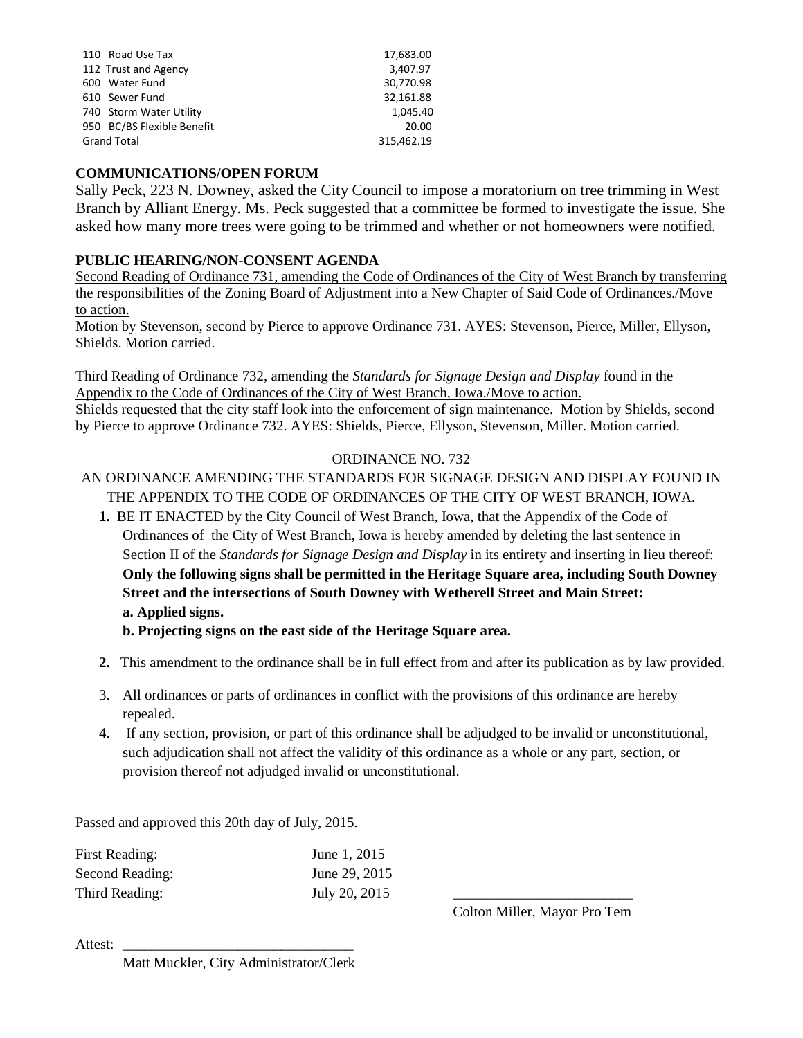| 110 Road Use Tax           | 17,683.00  |
|----------------------------|------------|
| 112 Trust and Agency       | 3,407.97   |
| 600 Water Fund             | 30,770.98  |
| 610 Sewer Fund             | 32,161.88  |
| 740 Storm Water Utility    | 1.045.40   |
| 950 BC/BS Flexible Benefit | 20.00      |
| <b>Grand Total</b>         | 315,462.19 |

### **COMMUNICATIONS/OPEN FORUM**

Sally Peck, 223 N. Downey, asked the City Council to impose a moratorium on tree trimming in West Branch by Alliant Energy. Ms. Peck suggested that a committee be formed to investigate the issue. She asked how many more trees were going to be trimmed and whether or not homeowners were notified.

### **PUBLIC HEARING/NON-CONSENT AGENDA**

Second Reading of Ordinance 731, amending the Code of Ordinances of the City of West Branch by transferring the responsibilities of the Zoning Board of Adjustment into a New Chapter of Said Code of Ordinances./Move to action.

Motion by Stevenson, second by Pierce to approve Ordinance 731. AYES: Stevenson, Pierce, Miller, Ellyson, Shields. Motion carried.

Third Reading of Ordinance 732, amending the *Standards for Signage Design and Display* found in the Appendix to the Code of Ordinances of the City of West Branch, Iowa./Move to action. Shields requested that the city staff look into the enforcement of sign maintenance. Motion by Shields, second by Pierce to approve Ordinance 732. AYES: Shields, Pierce, Ellyson, Stevenson, Miller. Motion carried.

#### ORDINANCE NO. 732

# AN ORDINANCE AMENDING THE STANDARDS FOR SIGNAGE DESIGN AND DISPLAY FOUND IN THE APPENDIX TO THE CODE OF ORDINANCES OF THE CITY OF WEST BRANCH, IOWA.

**1.** BE IT ENACTED by the City Council of West Branch, Iowa, that the Appendix of the Code of Ordinances of the City of West Branch, Iowa is hereby amended by deleting the last sentence in Section II of the *Standards for Signage Design and Display* in its entirety and inserting in lieu thereof: **Only the following signs shall be permitted in the Heritage Square area, including South Downey Street and the intersections of South Downey with Wetherell Street and Main Street: a. Applied signs.**

**b. Projecting signs on the east side of the Heritage Square area.**

- **2.** This amendment to the ordinance shall be in full effect from and after its publication as by law provided.
- 3. All ordinances or parts of ordinances in conflict with the provisions of this ordinance are hereby repealed.
- 4. If any section, provision, or part of this ordinance shall be adjudged to be invalid or unconstitutional, such adjudication shall not affect the validity of this ordinance as a whole or any part, section, or provision thereof not adjudged invalid or unconstitutional.

Passed and approved this 20th day of July, 2015.

| First Reading:  | June 1, 2015  |  |
|-----------------|---------------|--|
| Second Reading: | June 29, 2015 |  |
| Third Reading:  | July 20, 2015 |  |

Colton Miller, Mayor Pro Tem

Attest:

Matt Muckler, City Administrator/Clerk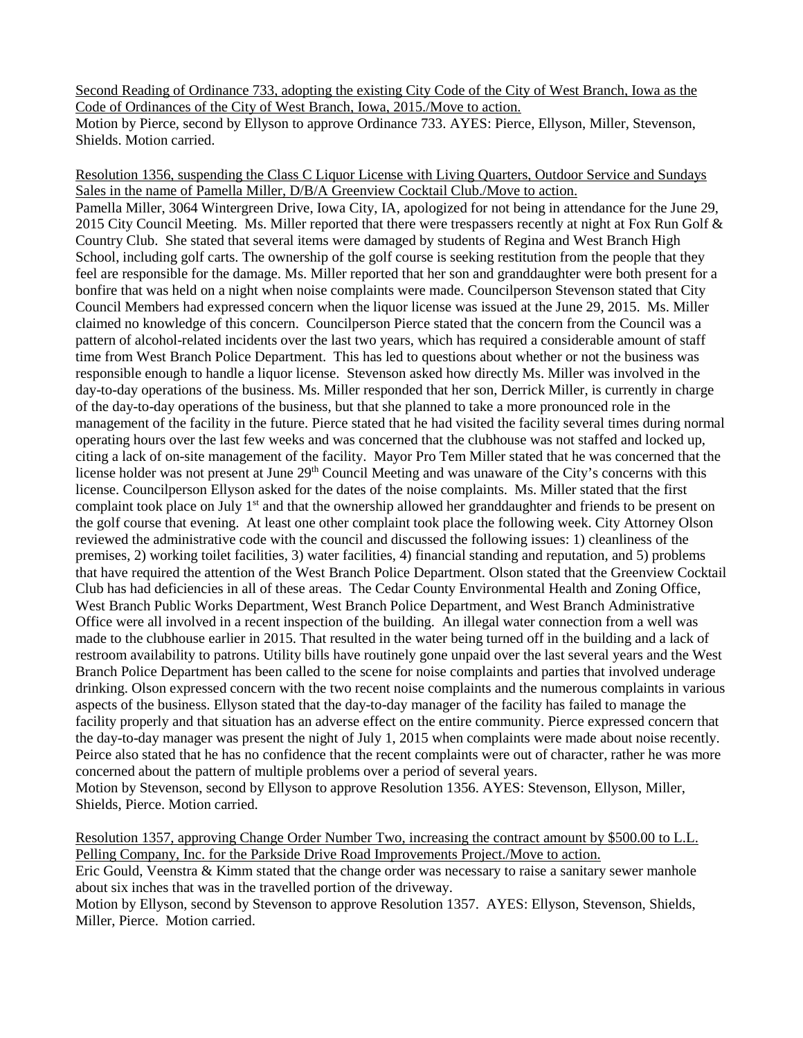Second Reading of Ordinance 733, adopting the existing City Code of the City of West Branch, Iowa as the Code of Ordinances of the City of West Branch, Iowa, 2015./Move to action. Motion by Pierce, second by Ellyson to approve Ordinance 733. AYES: Pierce, Ellyson, Miller, Stevenson, Shields. Motion carried.

Resolution 1356, suspending the Class C Liquor License with Living Quarters, Outdoor Service and Sundays Sales in the name of Pamella Miller, D/B/A Greenview Cocktail Club./Move to action. Pamella Miller, 3064 Wintergreen Drive, Iowa City, IA, apologized for not being in attendance for the June 29, 2015 City Council Meeting. Ms. Miller reported that there were trespassers recently at night at Fox Run Golf & Country Club. She stated that several items were damaged by students of Regina and West Branch High School, including golf carts. The ownership of the golf course is seeking restitution from the people that they feel are responsible for the damage. Ms. Miller reported that her son and granddaughter were both present for a bonfire that was held on a night when noise complaints were made. Councilperson Stevenson stated that City Council Members had expressed concern when the liquor license was issued at the June 29, 2015. Ms. Miller claimed no knowledge of this concern. Councilperson Pierce stated that the concern from the Council was a pattern of alcohol-related incidents over the last two years, which has required a considerable amount of staff time from West Branch Police Department. This has led to questions about whether or not the business was responsible enough to handle a liquor license. Stevenson asked how directly Ms. Miller was involved in the day-to-day operations of the business. Ms. Miller responded that her son, Derrick Miller, is currently in charge of the day-to-day operations of the business, but that she planned to take a more pronounced role in the management of the facility in the future. Pierce stated that he had visited the facility several times during normal operating hours over the last few weeks and was concerned that the clubhouse was not staffed and locked up, citing a lack of on-site management of the facility. Mayor Pro Tem Miller stated that he was concerned that the license holder was not present at June 29<sup>th</sup> Council Meeting and was unaware of the City's concerns with this license. Councilperson Ellyson asked for the dates of the noise complaints. Ms. Miller stated that the first complaint took place on July 1<sup>st</sup> and that the ownership allowed her granddaughter and friends to be present on the golf course that evening. At least one other complaint took place the following week. City Attorney Olson reviewed the administrative code with the council and discussed the following issues: 1) cleanliness of the premises, 2) working toilet facilities, 3) water facilities, 4) financial standing and reputation, and 5) problems that have required the attention of the West Branch Police Department. Olson stated that the Greenview Cocktail Club has had deficiencies in all of these areas. The Cedar County Environmental Health and Zoning Office, West Branch Public Works Department, West Branch Police Department, and West Branch Administrative Office were all involved in a recent inspection of the building. An illegal water connection from a well was made to the clubhouse earlier in 2015. That resulted in the water being turned off in the building and a lack of restroom availability to patrons. Utility bills have routinely gone unpaid over the last several years and the West Branch Police Department has been called to the scene for noise complaints and parties that involved underage drinking. Olson expressed concern with the two recent noise complaints and the numerous complaints in various aspects of the business. Ellyson stated that the day-to-day manager of the facility has failed to manage the facility properly and that situation has an adverse effect on the entire community. Pierce expressed concern that the day-to-day manager was present the night of July 1, 2015 when complaints were made about noise recently. Peirce also stated that he has no confidence that the recent complaints were out of character, rather he was more concerned about the pattern of multiple problems over a period of several years. Motion by Stevenson, second by Ellyson to approve Resolution 1356. AYES: Stevenson, Ellyson, Miller, Shields, Pierce. Motion carried.

Resolution 1357, approving Change Order Number Two, increasing the contract amount by \$500.00 to L.L. Pelling Company, Inc. for the Parkside Drive Road Improvements Project./Move to action.

Eric Gould, Veenstra  $&$  Kimm stated that the change order was necessary to raise a sanitary sewer manhole about six inches that was in the travelled portion of the driveway.

Motion by Ellyson, second by Stevenson to approve Resolution 1357. AYES: Ellyson, Stevenson, Shields, Miller, Pierce. Motion carried.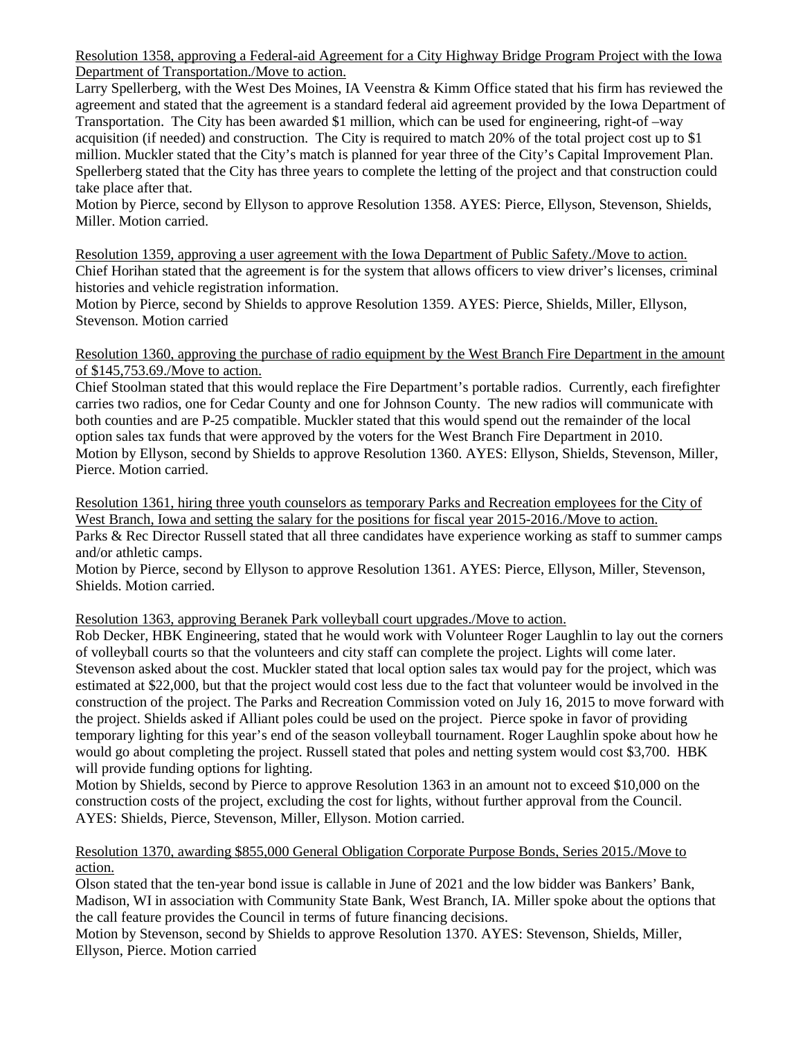Resolution 1358, approving a Federal-aid Agreement for a City Highway Bridge Program Project with the Iowa Department of Transportation./Move to action.

Larry Spellerberg, with the West Des Moines, IA Veenstra & Kimm Office stated that his firm has reviewed the agreement and stated that the agreement is a standard federal aid agreement provided by the Iowa Department of Transportation. The City has been awarded \$1 million, which can be used for engineering, right-of –way acquisition (if needed) and construction. The City is required to match 20% of the total project cost up to \$1 million. Muckler stated that the City's match is planned for year three of the City's Capital Improvement Plan. Spellerberg stated that the City has three years to complete the letting of the project and that construction could take place after that.

Motion by Pierce, second by Ellyson to approve Resolution 1358. AYES: Pierce, Ellyson, Stevenson, Shields, Miller. Motion carried.

Resolution 1359, approving a user agreement with the Iowa Department of Public Safety./Move to action. Chief Horihan stated that the agreement is for the system that allows officers to view driver's licenses, criminal histories and vehicle registration information.

Motion by Pierce, second by Shields to approve Resolution 1359. AYES: Pierce, Shields, Miller, Ellyson, Stevenson. Motion carried

#### Resolution 1360, approving the purchase of radio equipment by the West Branch Fire Department in the amount of \$145,753.69./Move to action.

Chief Stoolman stated that this would replace the Fire Department's portable radios. Currently, each firefighter carries two radios, one for Cedar County and one for Johnson County. The new radios will communicate with both counties and are P-25 compatible. Muckler stated that this would spend out the remainder of the local option sales tax funds that were approved by the voters for the West Branch Fire Department in 2010. Motion by Ellyson, second by Shields to approve Resolution 1360. AYES: Ellyson, Shields, Stevenson, Miller, Pierce. Motion carried.

Resolution 1361, hiring three youth counselors as temporary Parks and Recreation employees for the City of West Branch, Iowa and setting the salary for the positions for fiscal year 2015-2016./Move to action. Parks & Rec Director Russell stated that all three candidates have experience working as staff to summer camps

and/or athletic camps.

Motion by Pierce, second by Ellyson to approve Resolution 1361. AYES: Pierce, Ellyson, Miller, Stevenson, Shields. Motion carried.

### Resolution 1363, approving Beranek Park volleyball court upgrades./Move to action.

Rob Decker, HBK Engineering, stated that he would work with Volunteer Roger Laughlin to lay out the corners of volleyball courts so that the volunteers and city staff can complete the project. Lights will come later. Stevenson asked about the cost. Muckler stated that local option sales tax would pay for the project, which was estimated at \$22,000, but that the project would cost less due to the fact that volunteer would be involved in the construction of the project. The Parks and Recreation Commission voted on July 16, 2015 to move forward with the project. Shields asked if Alliant poles could be used on the project. Pierce spoke in favor of providing temporary lighting for this year's end of the season volleyball tournament. Roger Laughlin spoke about how he would go about completing the project. Russell stated that poles and netting system would cost \$3,700. HBK will provide funding options for lighting.

Motion by Shields, second by Pierce to approve Resolution 1363 in an amount not to exceed \$10,000 on the construction costs of the project, excluding the cost for lights, without further approval from the Council. AYES: Shields, Pierce, Stevenson, Miller, Ellyson. Motion carried.

#### Resolution 1370, awarding \$855,000 General Obligation Corporate Purpose Bonds, Series 2015./Move to action.

Olson stated that the ten-year bond issue is callable in June of 2021 and the low bidder was Bankers' Bank, Madison, WI in association with Community State Bank, West Branch, IA. Miller spoke about the options that the call feature provides the Council in terms of future financing decisions.

Motion by Stevenson, second by Shields to approve Resolution 1370. AYES: Stevenson, Shields, Miller, Ellyson, Pierce. Motion carried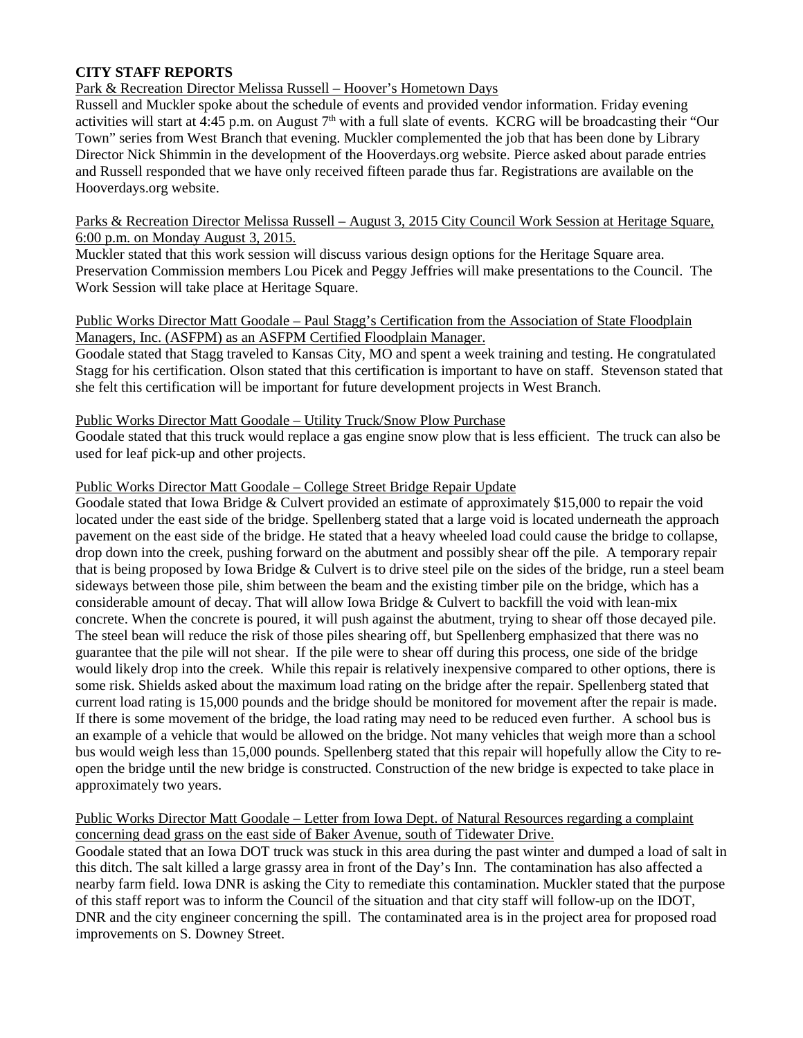### **CITY STAFF REPORTS**

### Park & Recreation Director Melissa Russell – Hoover's Hometown Days

Russell and Muckler spoke about the schedule of events and provided vendor information. Friday evening activities will start at 4:45 p.m. on August  $7<sup>th</sup>$  with a full slate of events. KCRG will be broadcasting their "Our Town" series from West Branch that evening. Muckler complemented the job that has been done by Library Director Nick Shimmin in the development of the Hooverdays.org website. Pierce asked about parade entries and Russell responded that we have only received fifteen parade thus far. Registrations are available on the Hooverdays.org website.

#### Parks & Recreation Director Melissa Russell – August 3, 2015 City Council Work Session at Heritage Square, 6:00 p.m. on Monday August 3, 2015.

Muckler stated that this work session will discuss various design options for the Heritage Square area. Preservation Commission members Lou Picek and Peggy Jeffries will make presentations to the Council. The Work Session will take place at Heritage Square.

#### Public Works Director Matt Goodale – Paul Stagg's Certification from the Association of State Floodplain Managers, Inc. (ASFPM) as an ASFPM Certified Floodplain Manager.

Goodale stated that Stagg traveled to Kansas City, MO and spent a week training and testing. He congratulated Stagg for his certification. Olson stated that this certification is important to have on staff. Stevenson stated that she felt this certification will be important for future development projects in West Branch.

#### Public Works Director Matt Goodale – Utility Truck/Snow Plow Purchase

Goodale stated that this truck would replace a gas engine snow plow that is less efficient. The truck can also be used for leaf pick-up and other projects.

#### Public Works Director Matt Goodale – College Street Bridge Repair Update

Goodale stated that Iowa Bridge & Culvert provided an estimate of approximately \$15,000 to repair the void located under the east side of the bridge. Spellenberg stated that a large void is located underneath the approach pavement on the east side of the bridge. He stated that a heavy wheeled load could cause the bridge to collapse, drop down into the creek, pushing forward on the abutment and possibly shear off the pile. A temporary repair that is being proposed by Iowa Bridge & Culvert is to drive steel pile on the sides of the bridge, run a steel beam sideways between those pile, shim between the beam and the existing timber pile on the bridge, which has a considerable amount of decay. That will allow Iowa Bridge & Culvert to backfill the void with lean-mix concrete. When the concrete is poured, it will push against the abutment, trying to shear off those decayed pile. The steel bean will reduce the risk of those piles shearing off, but Spellenberg emphasized that there was no guarantee that the pile will not shear. If the pile were to shear off during this process, one side of the bridge would likely drop into the creek. While this repair is relatively inexpensive compared to other options, there is some risk. Shields asked about the maximum load rating on the bridge after the repair. Spellenberg stated that current load rating is 15,000 pounds and the bridge should be monitored for movement after the repair is made. If there is some movement of the bridge, the load rating may need to be reduced even further. A school bus is an example of a vehicle that would be allowed on the bridge. Not many vehicles that weigh more than a school bus would weigh less than 15,000 pounds. Spellenberg stated that this repair will hopefully allow the City to reopen the bridge until the new bridge is constructed. Construction of the new bridge is expected to take place in approximately two years.

#### Public Works Director Matt Goodale – Letter from Iowa Dept. of Natural Resources regarding a complaint concerning dead grass on the east side of Baker Avenue, south of Tidewater Drive.

Goodale stated that an Iowa DOT truck was stuck in this area during the past winter and dumped a load of salt in this ditch. The salt killed a large grassy area in front of the Day's Inn. The contamination has also affected a nearby farm field. Iowa DNR is asking the City to remediate this contamination. Muckler stated that the purpose of this staff report was to inform the Council of the situation and that city staff will follow-up on the IDOT, DNR and the city engineer concerning the spill. The contaminated area is in the project area for proposed road improvements on S. Downey Street.